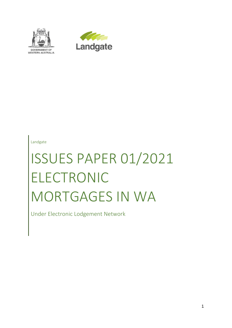



Landgate

# ISSUES PAPER 01/2021 ELECTRONIC MORTGAGES IN WA

Under Electronic Lodgement Network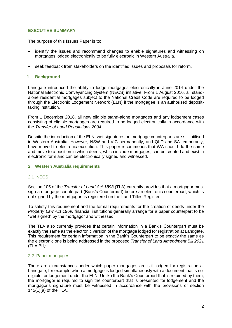# **EXECUTIVE SUMMARY**

The purpose of this Issues Paper is to:

- identify the issues and recommend changes to enable signatures and witnessing on mortgages lodged electronically to be fully electronic in Western Australia.
- seek feedback from stakeholders on the identified issues and proposals for reform.

#### **1. Background**

Landgate introduced the ability to lodge mortgages electronically in June 2014 under the National Electronic Conveyancing System (NECS) initiative. From 1 August 2016, all standalone residential mortgages subject to the National Credit Code are required to be lodged through the Electronic Lodgement Network (ELN) if the mortgagee is an authorised deposittaking institution.

From 1 December 2018, all new eligible stand-alone mortgages and any lodgement cases consisting of eligible mortgages are required to be lodged electronically in accordance with the *Transfer of Land Regulations 2004.*

Despite the introduction of the ELN, wet signatures on mortgage counterparts are still utilised in Western Australia. However, NSW and VIC permanently, and QLD and SA temporarily, have moved to electronic execution. This paper recommends that WA should do the same and move to a position in which deeds, which include mortgages, can be created and exist in electronic form and can be electronically signed and witnessed.

#### **2. Western Australia requirements**

# 2.1 NECS

Section 105 of the *Transfer of Land Act 1893* (TLA) currently provides that a mortgagor must sign a mortgage counterpart (Bank's Counterpart) before an electronic counterpart, which is not signed by the mortgagor, is registered on the Land Titles Register.

To satisfy this requirement and the formal requirements for the creation of deeds under the *Property Law Act 1969,* financial institutions generally arrange for a paper counterpart to be "wet signed" by the mortgagor and witnessed.

The TLA also currently provides that certain information in a Bank's Counterpart must be exactly the same as the electronic version of the mortgage lodged for registration at Landgate. This requirement for certain information in the Bank's Counterpart to be exactly the same as the electronic one is being addressed in the proposed *Transfer of Land Amendment Bill 2021*  (TLA Bill*)*.

# 2.2 Paper mortgages

There are circumstances under which paper mortgages are still lodged for registration at Landgate, for example when a mortgage is lodged simultaneously with a document that is not eligible for lodgement under the ELN. Unlike the Bank's Counterpart that is retained by them, the mortgagor is required to sign the counterpart that is presented for lodgement and the mortgagor's signature must be witnessed in accordance with the provisions of section 145(1)(a) of the TLA.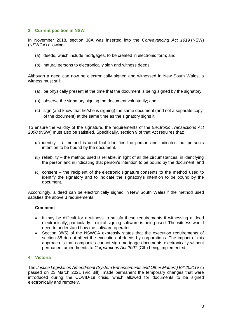# **3. Current position in NSW**

In November 2018, section 38A was inserted into the *Conveyancing Act 1919* (NSW) (NSWCA) allowing:

- (a) deeds, which include mortgages, to be created in electronic form; and
- (b) natural persons to electronically sign and witness deeds.

Although a deed can now be electronically signed and witnessed in New South Wales, a witness must still:

- (a) be physically present at the time that the document is being signed by the signatory.
- (b) observe the signatory signing the document voluntarily; and
- (c) sign (and know that he/she is signing) the same document (and not a separate copy of the document) at the same time as the signatory signs it.

To ensure the validity of the signature, the requirements of the *Electronic Transactions Act 2000* (NSW) must also be satisfied. Specifically, [section 9](https://advance.lexis.com/document/?pdmfid=1201008&crid=b4d535c5-2fb2-4814-b2b3-6dc54777d56e&pddocfullpath=%2Fshared%2Fdocument%2Fpractical-guidance-au%2Furn%3AcontentItem%3A58V5-Y9D1-JNCK-23SD-00000-00&pdcontentcomponentid=372493&pdteaserkey=sr0&pdicsfeatureid=1517127&pditab=allpods&pddocpracticeareas=urn%3Akrm%3A382EE299731B4301B1EDEF062147FD85&ecomp=7bcsk&earg=sr0&prid=6004d02b-176f-44eb-b614-8ece485a503f) of that Act requires that:

- (a) identity a method is used that identifies the person and indicates that person's intention to be bound by the document.
- (b) reliability the method used is reliable, in light of all the circumstances, in identifying the person and in indicating that person's intention to be bound by the document; and
- (c) consent the recipient of the electronic signature consents to the method used to identify the signatory and to indicate the signatory's intention to be bound by the document.

Accordingly, a deed can be electronically signed in New South Wales if the method used satisfies the above 3 requirements.

# **Comment**

- It may be difficult for a witness to satisfy these requirements if witnessing a deed electronically, particularly if digital signing software is being used. The witness would need to understand how the software operates.
- Section 38(5) of the NSWCA expressly states that the execution requirements of section 38 do not affect the execution of deeds by corporations. The impact of this approach is that companies cannot sign mortgage documents electronically without permanent amendments to *Corporations Act 2001* (Cth) being implemented.

# **4. Victoria**

The *Justice Legislation Amendment (System Enhancements and Other Matters) Bill 2021*(Vic) passed on 23 March 2021 (Vic Bill), made permanent the temporary changes that were introduced during the COVID-19 crisis, which allowed for documents to be signed electronically and remotely.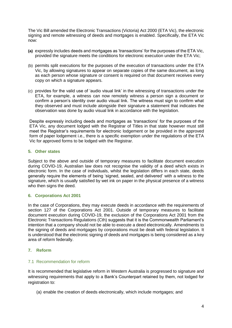The Vic Bill amended the Electronic Transactions (Victoria) Act 2000 (ETA Vic), the electronic signing and remote witnessing of deeds and mortgages is enabled. Specifically, the ETA Vic now:

- **(a)** expressly includes deeds and mortgages as 'transactions' for the purposes of the ETA Vic, provided the signature meets the conditions for electronic execution under the ETA Vic;
- (b) permits split executions for the purposes of the execution of transactions under the ETA Vic, by allowing signatures to appear on separate copies of the same document, as long as each person whose signature or consent is required on that document receives every copy on which a signature appears.
- (c) provides for the valid use of 'audio visual link' in the witnessing of transactions under the ETA, for example, a witness can now remotely witness a person sign a document or confirm a person's identity over audio visual link. The witness must sign to confirm what they observed and must include alongside their signature a statement that indicates the observation was done by audio visual link in accordance with the legislation.

Despite expressly including deeds and mortgages as 'transactions' for the purposes of the ETA Vic, any document lodged with the Registrar of Titles in that state however must still meet the Registrar's requirements for electronic lodgement or be provided in the approved form of paper lodgement i.e., there is a specific exemption under the regulations of the ETA Vic for approved forms to be lodged with the Registrar.

# **5. Other states**

Subject to the above and outside of temporary measures to facilitate document execution during COVID-19, Australian law does not recognise the validity of a deed which exists in electronic form. In the case of individuals, whilst the legislation differs in each state, deeds generally require the elements of being 'signed, sealed, and delivered' with a witness to the signature, which is usually satisfied by wet ink on paper in the physical presence of a witness who then signs the deed.

# **6. Corporations Act 2001**

In the case of Corporations, they may execute deeds in accordance with the requirements of section 127 of the Corporations Act 2001. Outside of temporary measures to facilitate document execution during COVID-19, the exclusion of the Corporations Act 2001 from the Electronic Transactions Regulations (Cth) suggests that it is the Commonwealth Parliament's intention that a company should not be able to execute a deed electronically. Amendments to the signing of deeds and mortgages by corporations must be dealt with federal legislation. It is understood that the electronic signing of deeds and mortgages is being considered as a key area of reform federally.

# **7. Reform**

# 7.1 Recommendation for reform

It is recommended that legislative reform in Western Australia is progressed to signature and witnessing requirements that apply to a Bank's Counterpart retained by them, not lodged for registration to:

(a) enable the creation of deeds electronically, which include mortgages; and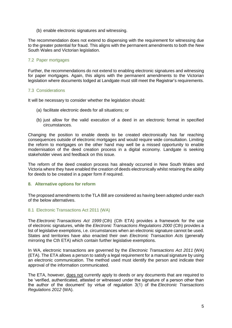(b) enable electronic signatures and witnessing.

The recommendation does not extend to dispensing with the requirement for witnessing due to the greater potential for fraud. This aligns with the permanent amendments to both the New South Wales and Victorian legislation.

### 7.2 Paper mortgages

Further, the recommendations do not extend to enabling electronic signatures and witnessing for paper mortgages. Again, this aligns with the permanent amendments to the Victorian legislation where documents lodged at Landgate must still meet the Registrar's requirements.

#### 7.3 Considerations

It will be necessary to consider whether the legislation should:

- (a) facilitate electronic deeds for all situations; or
- (b) just allow for the valid execution of a deed in an electronic format in specified circumstances.

Changing the position to enable deeds to be created electronically has far reaching consequences outside of electronic mortgages and would require wide consultation. Limiting the reform to mortgages on the other hand may well be a missed opportunity to enable modernisation of the deed creation process in a digital economy. Landgate is seeking stakeholder views and feedback on this issue.

The reform of the deed creation process has already occurred in New South Wales and Victoria where they have enabled the creation of deeds electronically whilst retaining the ability for deeds to be created in a paper form if required.

# **8. Alternative options for reform**

The proposed amendments to the TLA Bill are considered as having been adopted under each of the below alternatives.

# 8.1 Electronic Transactions Act 2011 (WA)

The *Electronic [Transactions](https://advance.lexis.com/document/documentlink/?pdmfid=1201009&crid=4f1381bc-aa4b-4a97-a646-2d8ac133ee4e&pddocfullpath=%2Fshared%2Fdocument%2Fpractical-guidance-au%2Furn%3AcontentItem%3A60P0-WK21-JSC5-M3VS-00000-00&pdcontentcomponentid=372570&pddoctitle=Checklist+for+the+use+of+electronic+signatures&pdproductcontenttypeid=urn%3Apct%3A534&pdiskwicview=false&ecomp=w5d6k&prid=5e923bea-9dab-4cba-be54-48a5bdc150f1) Act 1999* (Cth) (Cth ETA) provides a framework for the use of electronic signatures, while the *Electronic [Transactions Regulations 2000](https://advance.lexis.com/document/documentlink/?pdmfid=1201009&crid=4f1381bc-aa4b-4a97-a646-2d8ac133ee4e&pddocfullpath=%2Fshared%2Fdocument%2Fpractical-guidance-au%2Furn%3AcontentItem%3A60P0-WK21-JSC5-M3VS-00000-00&pdcontentcomponentid=372570&pddoctitle=Checklist+for+the+use+of+electronic+signatures&pdproductcontenttypeid=urn%3Apct%3A534&pdiskwicview=false&ecomp=w5d6k&prid=5e923bea-9dab-4cba-be54-48a5bdc150f1)* (Cth) provides a list of legislative exemptions, i.e. circumstances when an electronic signature cannot be used. States and territories have also enacted their own *Electronic Transaction Acts* (generally mirroring the Cth ETA) which contain further legislative exemptions.

In WA, electronic transactions are governed by the *Electronic Transactions Act 2011* (WA) (ETA). The ETA allows a person to satisfy a legal requirement for a manual signature by using an electronic communication. The method used must identify the person and indicate their approval of the information communicated.

The ETA, however, does not currently apply to deeds or any documents that are required to be 'verified, authenticated, attested or witnessed under the signature of a person other than the author of the document' by virtue of regulation 3(1) of the *Electronic Transactions Regulations 2012* (WA).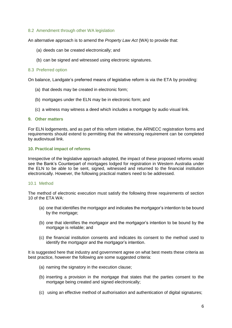### 8.2 Amendment through other WA legislation

An alternative approach is to amend the *Property Law Act* (WA) to provide that:

- (a) deeds can be created electronically; and
- (b) can be signed and witnessed using electronic signatures.

#### 8.3 Preferred option

On balance, Landgate's preferred means of legislative reform is via the ETA by providing:

- (a) that deeds may be created in electronic form;
- (b) mortgages under the ELN may be in electronic form; and
- (c) a witness may witness a deed which includes a mortgage by audio visual link.

#### **9. Other matters**

For ELN lodgements, and as part of this reform initiative, the ARNECC registration forms and requirements should extend to permitting that the witnessing requirement can be completed by audiovisual link.

#### **10. Practical impact of reforms**

Irrespective of the legislative approach adopted, the impact of these proposed reforms would see the Bank's Counterpart of mortgages lodged for registration in Western Australia under the ELN to be able to be sent, signed, witnessed and returned to the financial institution electronically. However, the following practical matters need to be addressed.

#### 10.1 Method

The method of electronic execution must satisfy the following three requirements of section 10 of the ETA WA:

- (a) one that identifies the mortgagor and indicates the mortgagor's intention to be bound by the mortgage;
- (b) one that identifies the mortgagor and the mortgagor's intention to be bound by the mortgage is reliable; and
- (c) the financial institution consents and indicates its consent to the method used to identify the mortgagor and the mortgagor's intention.

It is suggested here that industry and government agree on what best meets these criteria as best practice, however the following are some suggested criteria:

- (a) naming the signatory in the execution clause;
- (b) inserting a provision in the mortgage that states that the parties consent to the mortgage being created and signed electronically:
- (c) using an effective method of authorisation and authentication of digital signatures;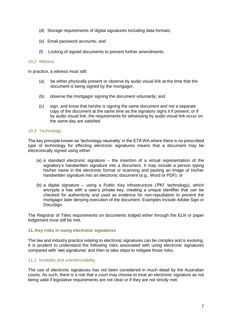- (d) Storage requirements of digital signatures including data formats;
- (e) Email password accounts; and
- (f) Locking of signed documents to prevent further amendments

#### 10.2 Witness

In practice, a witness must still:

- (a) be either physically present or observe by audio visual link at the time that the document is being signed by the mortgagor.
- (b) observe the mortgagor signing the document voluntarily; and
- (c) sign, and know that he/she is signing the same document and not a separate copy of the document at the same time as the signatory signs it if present, or if by audio visual link, the requirements for witnessing by audio visual link occur on the same day are satisfied.

#### 10.3 Technology

The key principle known as 'technology neutrality' in the ETA WA where there is no prescribed type of technology for effecting electronic signatures means that a document may be electronically signed using either:

- (a) a standard electronic signature the insertion of a virtual representation of the signatory's handwritten signature into a document. It may include a person typing his/her name in the electronic format or scanning and pasting an image of his/her handwritten signature into an electronic document (e.g., Word or PDF); or
- (b) a digital signature using a Public Key Infrastructure ('PKI' technology), which encrypts a has with a user's private key, creating a unique identifier that can be checked for authenticity and used as evidence for non-repudiation to prevent the mortgagor later denying execution of the document. Examples include Adobe Sign or DocuSign.

The Registrar of Titles requirements on documents lodged either through the ELN or paper lodgement must still be met.

#### **11. Key risks in using electronic signatures**

The law and industry practice relating to electronic signatures can be complex and is evolving. It is prudent to understand the following risks associated with using electronic signatures compared with 'wet signatures' and then to take steps to mitigate those risks.

#### 11.1 Invalidity and unenforceability

The use of electronic signatures has not been considered in much detail by the Australian courts. As such, there is a risk that a court may choose to treat an electronic signature as not being valid if legislative requirements are not clear or if they are not strictly met.